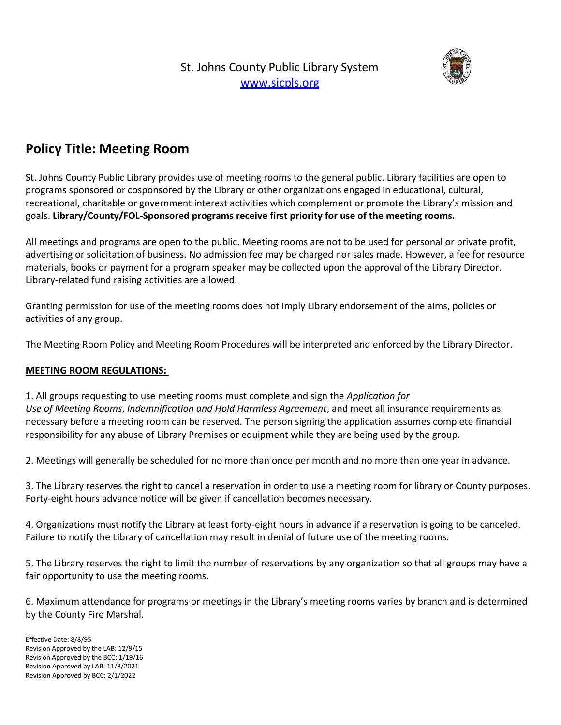St. Johns County Public Library System [www.sjcpls.org](http://www.sjcpls.org/)



## **Policy Title: Meeting Room**

St. Johns County Public Library provides use of meeting rooms to the general public. Library facilities are open to programs sponsored or cosponsored by the Library or other organizations engaged in educational, cultural, recreational, charitable or government interest activities which complement or promote the Library's mission and goals. **Library/County/FOL-Sponsored programs receive first priority for use of the meeting rooms.**

All meetings and programs are open to the public. Meeting rooms are not to be used for personal or private profit, advertising or solicitation of business. No admission fee may be charged nor sales made. However, a fee for resource materials, books or payment for a program speaker may be collected upon the approval of the Library Director. Library-related fund raising activities are allowed.

Granting permission for use of the meeting rooms does not imply Library endorsement of the aims, policies or activities of any group.

The Meeting Room Policy and Meeting Room Procedures will be interpreted and enforced by the Library Director.

## **MEETING ROOM REGULATIONS:**

1. All groups requesting to use meeting rooms must complete and sign the *Application for Use of Meeting Rooms*, *Indemnification and Hold Harmless Agreement*, and meet all insurance requirements as necessary before a meeting room can be reserved. The person signing the application assumes complete financial responsibility for any abuse of Library Premises or equipment while they are being used by the group.

2. Meetings will generally be scheduled for no more than once per month and no more than one year in advance.

3. The Library reserves the right to cancel a reservation in order to use a meeting room for library or County purposes. Forty-eight hours advance notice will be given if cancellation becomes necessary.

4. Organizations must notify the Library at least forty-eight hours in advance if a reservation is going to be canceled. Failure to notify the Library of cancellation may result in denial of future use of the meeting rooms.

5. The Library reserves the right to limit the number of reservations by any organization so that all groups may have a fair opportunity to use the meeting rooms.

6. Maximum attendance for programs or meetings in the Library's meeting rooms varies by branch and is determined by the County Fire Marshal.

Effective Date: 8/8/95 Revision Approved by the LAB: 12/9/15 Revision Approved by the BCC: 1/19/16 Revision Approved by LAB: 11/8/2021 Revision Approved by BCC: 2/1/2022